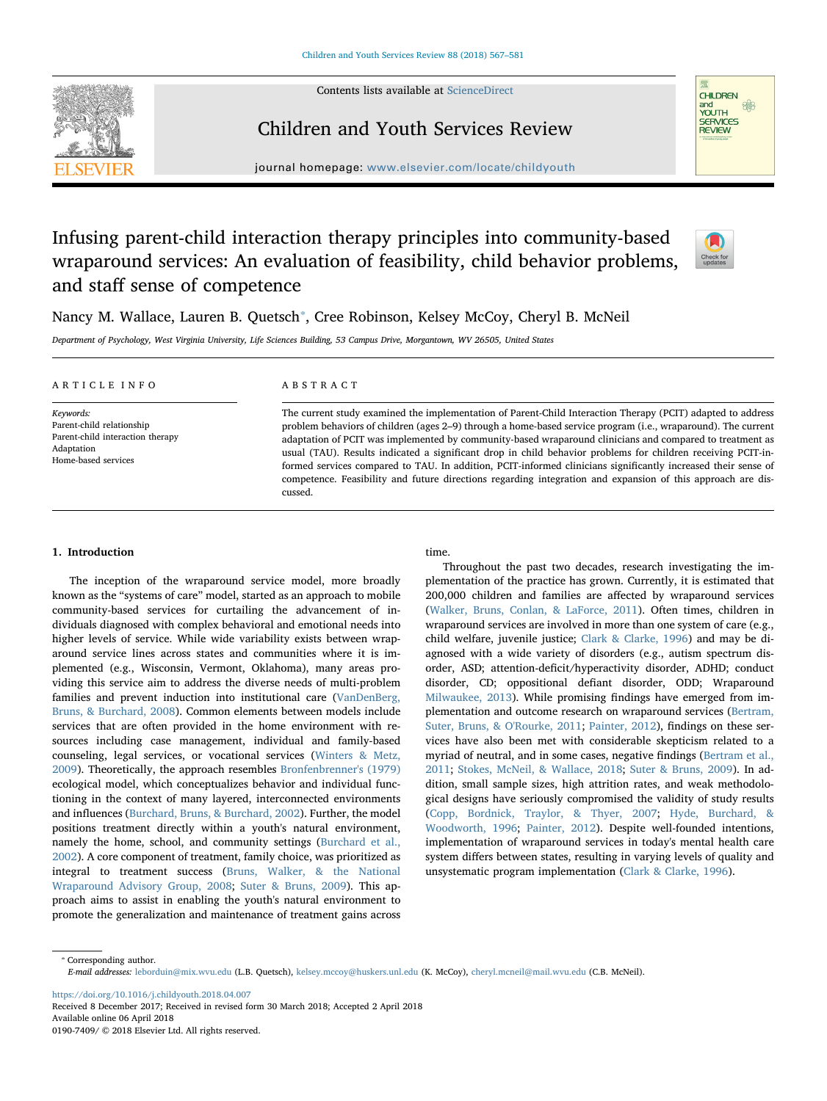Contents lists available at [ScienceDirect](http://www.sciencedirect.com/science/journal/01907409)



### Children and Youth Services Review



journal homepage: [www.elsevier.com/locate/childyouth](https://www.elsevier.com/locate/childyouth)

## Infusing parent-child interaction therapy principles into community-based wraparound services: An evaluation of feasibility, child behavior problems, and staff sense of competence



Nancy M. Wallace, Lauren B. Quetsch<sup>\*</sup>, Cree Robinson, Kelsey McCoy, Cheryl B. McNeil

Department of Psychology, West Virginia University, Life Sciences Building, 53 Campus Drive, Morgantown, WV 26505, United States

| ARTICLE INFO                                                                                                    | ABSTRACT                                                                                                                                                                                                                                                                                                                                                                                                                                                                                                                                                                                                                                                                                            |
|-----------------------------------------------------------------------------------------------------------------|-----------------------------------------------------------------------------------------------------------------------------------------------------------------------------------------------------------------------------------------------------------------------------------------------------------------------------------------------------------------------------------------------------------------------------------------------------------------------------------------------------------------------------------------------------------------------------------------------------------------------------------------------------------------------------------------------------|
| Keywords:<br>Parent-child relationship<br>Parent-child interaction therapy<br>Adaptation<br>Home-based services | The current study examined the implementation of Parent-Child Interaction Therapy (PCIT) adapted to address<br>problem behaviors of children (ages 2–9) through a home-based service program (i.e., wraparound). The current<br>adaptation of PCIT was implemented by community-based wraparound clinicians and compared to treatment as<br>usual (TAU). Results indicated a significant drop in child behavior problems for children receiving PCIT-in-<br>formed services compared to TAU. In addition, PCIT-informed clinicians significantly increased their sense of<br>competence. Feasibility and future directions regarding integration and expansion of this approach are dis-<br>cussed. |

#### 1. Introduction

The inception of the wraparound service model, more broadly known as the "systems of care" model, started as an approach to mobile community-based services for curtailing the advancement of individuals diagnosed with complex behavioral and emotional needs into higher levels of service. While wide variability exists between wraparound service lines across states and communities where it is implemented (e.g., Wisconsin, Vermont, Oklahoma), many areas providing this service aim to address the diverse needs of multi-problem families and prevent induction into institutional care (VanDenBerg, Bruns, & Burchard, 2008). Common elements between models include services that are often provided in the home environment with resources including case management, individual and family-based counseling, legal services, or vocational services (Winters & Metz, 2009). Theoretically, the approach resembles Bronfenbrenner's (1979) ecological model, which conceptualizes behavior and individual functioning in the context of many layered, interconnected environments and influences (Burchard, Bruns, & Burchard, 2002). Further, the model positions treatment directly within a youth's natural environment, namely the home, school, and community settings (Burchard et al., 2002). A core component of treatment, family choice, was prioritized as integral to treatment success (Bruns, Walker, & the National Wraparound Advisory Group, 2008; Suter & Bruns, 2009). This approach aims to assist in enabling the youth's natural environment to promote the generalization and maintenance of treatment gains across time.

Throughout the past two decades, research investigating the implementation of the practice has grown. Currently, it is estimated that 200,000 children and families are affected by wraparound services (Walker, Bruns, Conlan, & LaForce, 2011). Often times, children in wraparound services are involved in more than one system of care (e.g., child welfare, juvenile justice; Clark & Clarke, 1996) and may be diagnosed with a wide variety of disorders (e.g., autism spectrum disorder, ASD; attention-deficit/hyperactivity disorder, ADHD; conduct disorder, CD; oppositional defiant disorder, ODD; Wraparound Milwaukee, 2013). While promising findings have emerged from implementation and outcome research on wraparound services (Bertram, Suter, Bruns, & O'Rourke, 2011; Painter, 2012), findings on these services have also been met with considerable skepticism related to a myriad of neutral, and in some cases, negative findings (Bertram et al., 2011; Stokes, McNeil, & Wallace, 2018; Suter & Bruns, 2009). In addition, small sample sizes, high attrition rates, and weak methodological designs have seriously compromised the validity of study results (Copp, Bordnick, Traylor, & Thyer, 2007; Hyde, Burchard, & Woodworth, 1996; Painter, 2012). Despite well-founded intentions, implementation of wraparound services in today's mental health care system differs between states, resulting in varying levels of quality and unsystematic program implementation (Clark & Clarke, 1996).

<https://doi.org/10.1016/j.childyouth.2018.04.007>

Received 8 December 2017; Received in revised form 30 March 2018; Accepted 2 April 2018 Available online 06 April 2018

0190-7409/ © 2018 Elsevier Ltd. All rights reserved.

<sup>⁎</sup> Corresponding author. E-mail addresses: [leborduin@mix.wvu.edu](mailto:leborduin@mix.wvu.edu) (L.B. Quetsch), [kelsey.mccoy@huskers.unl.edu](mailto:kelsey.mccoy@huskers.unl.edu) (K. McCoy), [cheryl.mcneil@mail.wvu.edu](mailto:cheryl.mcneil@mail.wvu.edu) (C.B. McNeil).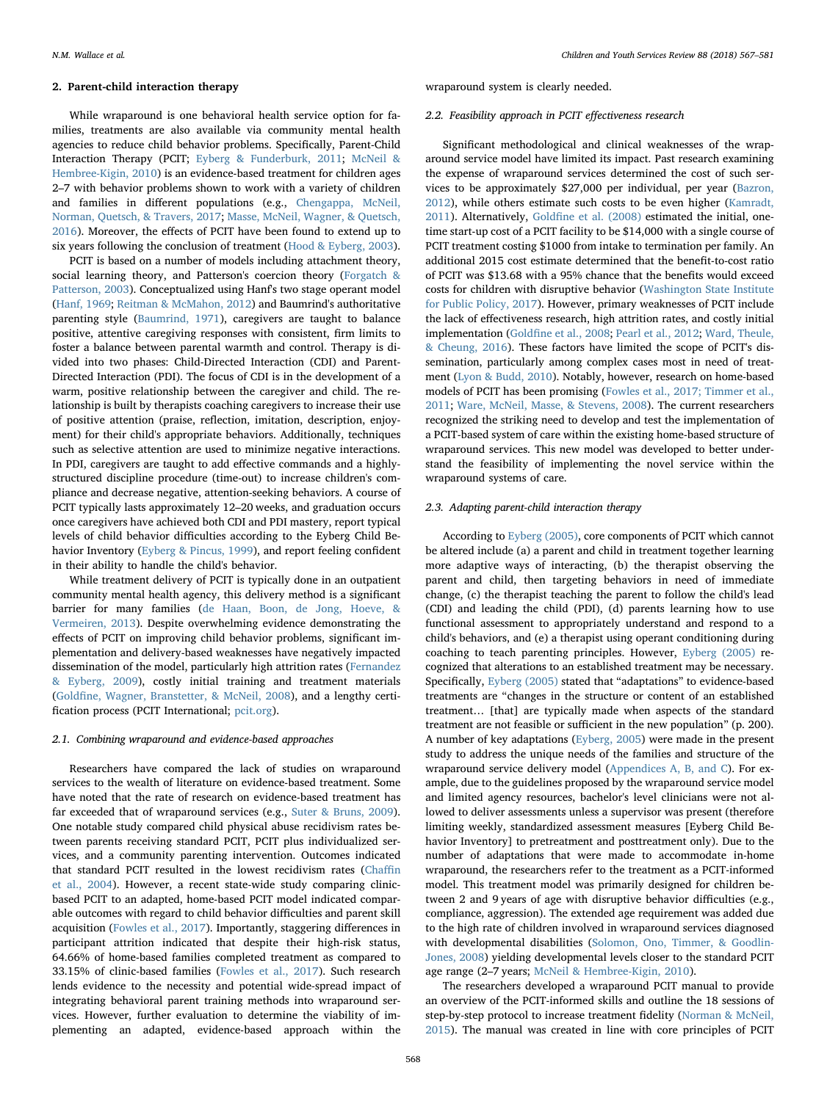#### 2. Parent-child interaction therapy

While wraparound is one behavioral health service option for families, treatments are also available via community mental health agencies to reduce child behavior problems. Specifically, Parent-Child Interaction Therapy (PCIT; Eyberg & Funderburk, 2011; McNeil & Hembree-Kigin, 2010) is an evidence-based treatment for children ages 2–7 with behavior problems shown to work with a variety of children and families in different populations (e.g., Chengappa, McNeil, Norman, Quetsch, & Travers, 2017; Masse, McNeil, Wagner, & Quetsch, 2016). Moreover, the effects of PCIT have been found to extend up to six years following the conclusion of treatment (Hood & Eyberg, 2003).

PCIT is based on a number of models including attachment theory, social learning theory, and Patterson's coercion theory (Forgatch & Patterson, 2003). Conceptualized using Hanf's two stage operant model (Hanf, 1969; Reitman & McMahon, 2012) and Baumrind's authoritative parenting style (Baumrind, 1971), caregivers are taught to balance positive, attentive caregiving responses with consistent, firm limits to foster a balance between parental warmth and control. Therapy is divided into two phases: Child-Directed Interaction (CDI) and Parent-Directed Interaction (PDI). The focus of CDI is in the development of a warm, positive relationship between the caregiver and child. The relationship is built by therapists coaching caregivers to increase their use of positive attention (praise, reflection, imitation, description, enjoyment) for their child's appropriate behaviors. Additionally, techniques such as selective attention are used to minimize negative interactions. In PDI, caregivers are taught to add effective commands and a highlystructured discipline procedure (time-out) to increase children's compliance and decrease negative, attention-seeking behaviors. A course of PCIT typically lasts approximately 12–20 weeks, and graduation occurs once caregivers have achieved both CDI and PDI mastery, report typical levels of child behavior difficulties according to the Eyberg Child Behavior Inventory (Eyberg & Pincus, 1999), and report feeling confident in their ability to handle the child's behavior.

While treatment delivery of PCIT is typically done in an outpatient community mental health agency, this delivery method is a significant barrier for many families (de Haan, Boon, de Jong, Hoeve, & Vermeiren, 2013). Despite overwhelming evidence demonstrating the effects of PCIT on improving child behavior problems, significant implementation and delivery-based weaknesses have negatively impacted dissemination of the model, particularly high attrition rates (Fernandez & Eyberg, 2009), costly initial training and treatment materials (Goldfine, Wagner, Branstetter, & McNeil, 2008), and a lengthy certification process (PCIT International; [pcit.org](http://pcit.org)).

#### 2.1. Combining wraparound and evidence-based approaches

Researchers have compared the lack of studies on wraparound services to the wealth of literature on evidence-based treatment. Some have noted that the rate of research on evidence-based treatment has far exceeded that of wraparound services (e.g., Suter & Bruns, 2009). One notable study compared child physical abuse recidivism rates between parents receiving standard PCIT, PCIT plus individualized services, and a community parenting intervention. Outcomes indicated that standard PCIT resulted in the lowest recidivism rates (Chaffin et al., 2004). However, a recent state-wide study comparing clinicbased PCIT to an adapted, home-based PCIT model indicated comparable outcomes with regard to child behavior difficulties and parent skill acquisition (Fowles et al., 2017). Importantly, staggering differences in participant attrition indicated that despite their high-risk status, 64.66% of home-based families completed treatment as compared to 33.15% of clinic-based families (Fowles et al., 2017). Such research lends evidence to the necessity and potential wide-spread impact of integrating behavioral parent training methods into wraparound services. However, further evaluation to determine the viability of implementing an adapted, evidence-based approach within the wraparound system is clearly needed.

#### 2.2. Feasibility approach in PCIT effectiveness research

Significant methodological and clinical weaknesses of the wraparound service model have limited its impact. Past research examining the expense of wraparound services determined the cost of such services to be approximately \$27,000 per individual, per year (Bazron, 2012), while others estimate such costs to be even higher (Kamradt, 2011). Alternatively, Goldfine et al. (2008) estimated the initial, onetime start-up cost of a PCIT facility to be \$14,000 with a single course of PCIT treatment costing \$1000 from intake to termination per family. An additional 2015 cost estimate determined that the benefit-to-cost ratio of PCIT was \$13.68 with a 95% chance that the benefits would exceed costs for children with disruptive behavior (Washington State Institute for Public Policy, 2017). However, primary weaknesses of PCIT include the lack of effectiveness research, high attrition rates, and costly initial implementation (Goldfine et al., 2008; Pearl et al., 2012; Ward, Theule, & Cheung, 2016). These factors have limited the scope of PCIT's dissemination, particularly among complex cases most in need of treatment (Lyon & Budd, 2010). Notably, however, research on home-based models of PCIT has been promising (Fowles et al., 2017; Timmer et al., 2011; Ware, McNeil, Masse, & Stevens, 2008). The current researchers recognized the striking need to develop and test the implementation of a PCIT-based system of care within the existing home-based structure of wraparound services. This new model was developed to better understand the feasibility of implementing the novel service within the wraparound systems of care.

#### 2.3. Adapting parent-child interaction therapy

According to Eyberg (2005), core components of PCIT which cannot be altered include (a) a parent and child in treatment together learning more adaptive ways of interacting, (b) the therapist observing the parent and child, then targeting behaviors in need of immediate change, (c) the therapist teaching the parent to follow the child's lead (CDI) and leading the child (PDI), (d) parents learning how to use functional assessment to appropriately understand and respond to a child's behaviors, and (e) a therapist using operant conditioning during coaching to teach parenting principles. However, Eyberg (2005) recognized that alterations to an established treatment may be necessary. Specifically, Eyberg (2005) stated that "adaptations" to evidence-based treatments are "changes in the structure or content of an established treatment… [that] are typically made when aspects of the standard treatment are not feasible or sufficient in the new population" (p. 200). A number of key adaptations (Eyberg, 2005) were made in the present study to address the unique needs of the families and structure of the wraparound service delivery model (Appendices A, B, and C). For example, due to the guidelines proposed by the wraparound service model and limited agency resources, bachelor's level clinicians were not allowed to deliver assessments unless a supervisor was present (therefore limiting weekly, standardized assessment measures [Eyberg Child Behavior Inventory] to pretreatment and posttreatment only). Due to the number of adaptations that were made to accommodate in-home wraparound, the researchers refer to the treatment as a PCIT-informed model. This treatment model was primarily designed for children between 2 and 9 years of age with disruptive behavior difficulties (e.g., compliance, aggression). The extended age requirement was added due to the high rate of children involved in wraparound services diagnosed with developmental disabilities (Solomon, Ono, Timmer, & Goodlin-Jones, 2008) yielding developmental levels closer to the standard PCIT age range (2–7 years; McNeil & Hembree-Kigin, 2010).

The researchers developed a wraparound PCIT manual to provide an overview of the PCIT-informed skills and outline the 18 sessions of step-by-step protocol to increase treatment fidelity (Norman & McNeil, 2015). The manual was created in line with core principles of PCIT